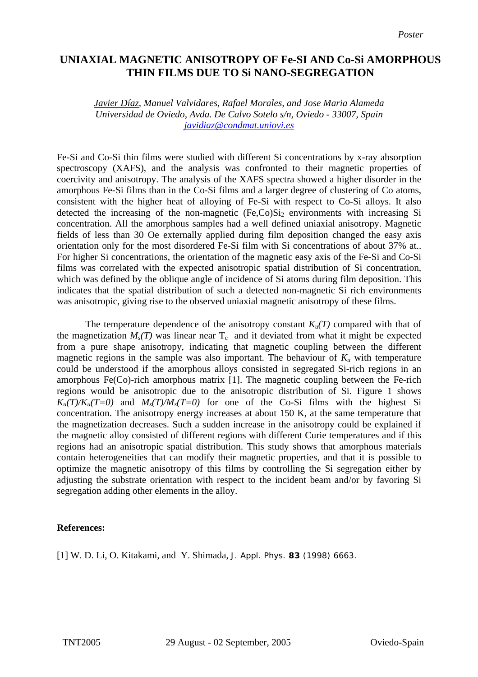## **UNIAXIAL MAGNETIC ANISOTROPY OF Fe-SI AND Co-Si AMORPHOUS THIN FILMS DUE TO Si NANO-SEGREGATION**

*Javier Díaz, Manuel Valvidares, Rafael Morales, and Jose Maria Alameda Universidad de Oviedo, Avda. De Calvo Sotelo s/n, Oviedo - 33007, Spain [javidiaz@condmat.uniovi.es](mailto:Contact@E-mail)*

Fe-Si and Co-Si thin films were studied with different Si concentrations by x-ray absorption spectroscopy (XAFS), and the analysis was confronted to their magnetic properties of coercivity and anisotropy. The analysis of the XAFS spectra showed a higher disorder in the amorphous Fe-Si films than in the Co-Si films and a larger degree of clustering of Co atoms, consistent with the higher heat of alloying of Fe-Si with respect to Co-Si alloys. It also detected the increasing of the non-magnetic  $(Fe, Co)Si<sub>2</sub>$  environments with increasing Si concentration. All the amorphous samples had a well defined uniaxial anisotropy. Magnetic fields of less than 30 Oe externally applied during film deposition changed the easy axis orientation only for the most disordered Fe-Si film with Si concentrations of about 37% at.. For higher Si concentrations, the orientation of the magnetic easy axis of the Fe-Si and Co-Si films was correlated with the expected anisotropic spatial distribution of Si concentration, which was defined by the oblique angle of incidence of Si atoms during film deposition. This indicates that the spatial distribution of such a detected non-magnetic Si rich environments was anisotropic, giving rise to the observed uniaxial magnetic anisotropy of these films.

The temperature dependence of the anisotropy constant  $K_u(T)$  compared with that of the magnetization  $M_s(T)$  was linear near  $T_c$  and it deviated from what it might be expected from a pure shape anisotropy, indicating that magnetic coupling between the different magnetic regions in the sample was also important. The behaviour of  $K_u$  with temperature could be understood if the amorphous alloys consisted in segregated Si-rich regions in an amorphous Fe(Co)-rich amorphous matrix [1]. The magnetic coupling between the Fe-rich regions would be anisotropic due to the anisotropic distribution of Si. Figure 1 shows  $K_u(T)/K_u(T=0)$  and  $M_s(T)/M_s(T=0)$  for one of the Co-Si films with the highest Si concentration. The anisotropy energy increases at about 150 K, at the same temperature that the magnetization decreases. Such a sudden increase in the anisotropy could be explained if the magnetic alloy consisted of different regions with different Curie temperatures and if this regions had an anisotropic spatial distribution. This study shows that amorphous materials contain heterogeneities that can modify their magnetic properties, and that it is possible to optimize the magnetic anisotropy of this films by controlling the Si segregation either by adjusting the substrate orientation with respect to the incident beam and/or by favoring Si segregation adding other elements in the alloy.

## **References:**

[1] W. D. Li, O. Kitakami, and Y. Shimada, J. Appl. Phys. **83** (1998) 6663.